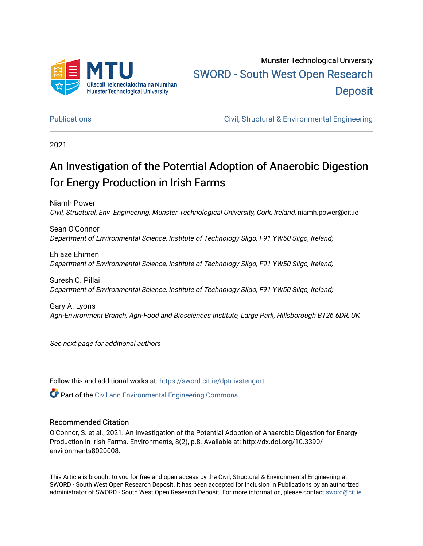

Munster Technological University [SWORD - South West Open Research](https://sword.cit.ie/)  **Deposit** 

[Publications](https://sword.cit.ie/dptcivstengart) [Civil, Structural & Environmental Engineering](https://sword.cit.ie/dptcivsteng) 

2021

## An Investigation of the Potential Adoption of Anaerobic Digestion for Energy Production in Irish Farms

Niamh Power Civil, Structural, Env. Engineering, Munster Technological University, Cork, Ireland, niamh.power@cit.ie

Sean O'Connor Department of Environmental Science, Institute of Technology Sligo, F91 YW50 Sligo, Ireland;

Ehiaze Ehimen Department of Environmental Science, Institute of Technology Sligo, F91 YW50 Sligo, Ireland;

Suresh C. Pillai Department of Environmental Science, Institute of Technology Sligo, F91 YW50 Sligo, Ireland;

Gary A. Lyons Agri-Environment Branch, Agri-Food and Biosciences Institute, Large Park, Hillsborough BT26 6DR, UK

See next page for additional authors

Follow this and additional works at: [https://sword.cit.ie/dptcivstengart](https://sword.cit.ie/dptcivstengart?utm_source=sword.cit.ie%2Fdptcivstengart%2F6&utm_medium=PDF&utm_campaign=PDFCoverPages) 

 $\bullet$  Part of the [Civil and Environmental Engineering Commons](http://network.bepress.com/hgg/discipline/251?utm_source=sword.cit.ie%2Fdptcivstengart%2F6&utm_medium=PDF&utm_campaign=PDFCoverPages)

#### Recommended Citation

O'Connor, S. et al., 2021. An Investigation of the Potential Adoption of Anaerobic Digestion for Energy Production in Irish Farms. Environments, 8(2), p.8. Available at: http://dx.doi.org/10.3390/ environments8020008.

This Article is brought to you for free and open access by the Civil, Structural & Environmental Engineering at SWORD - South West Open Research Deposit. It has been accepted for inclusion in Publications by an authorized administrator of SWORD - South West Open Research Deposit. For more information, please contact [sword@cit.ie.](mailto:sword@cit.ie)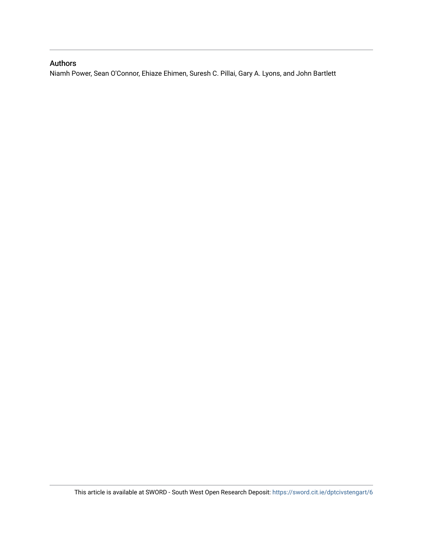### Authors

Niamh Power, Sean O'Connor, Ehiaze Ehimen, Suresh C. Pillai, Gary A. Lyons, and John Bartlett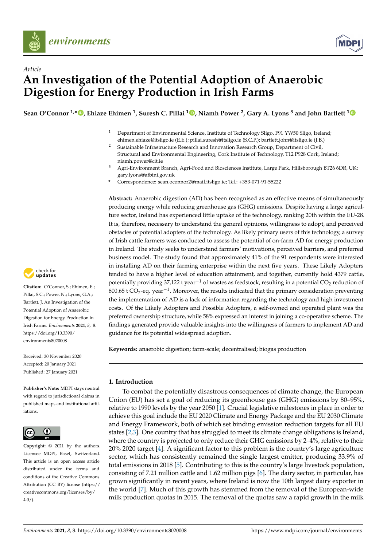



## *Article* **An Investigation of the Potential Adoption of Anaerobic Digestion for Energy Production in Irish Farms**

**Sean O'Connor 1,\* [,](https://orcid.org/0000-0002-6852-4463) Ehiaze Ehimen <sup>1</sup> , Suresh C. Pillai <sup>1</sup> [,](https://orcid.org/0000-0002-8901-9116) Niamh Power <sup>2</sup> , Gary A. Lyons <sup>3</sup> and John Bartlett [1](https://orcid.org/0000-0003-3282-5691)**

- <sup>1</sup> Department of Environmental Science, Institute of Technology Sligo, F91 YW50 Sligo, Ireland; ehimen.ehiaze@itsligo.ie (E.E.); pillai.suresh@itsligo.ie (S.C.P.); bartlett.john@itsligo.ie (J.B.)
- <sup>2</sup> Sustainable Infrastructure Research and Innovation Research Group, Department of Civil, Structural and Environmental Engineering, Cork Institute of Technology, T12 P928 Cork, Ireland; niamh.power@cit.ie
- <sup>3</sup> Agri-Environment Branch, Agri-Food and Biosciences Institute, Large Park, Hillsborough BT26 6DR, UK; gary.lyons@afbini.gov.uk
- **\*** Correspondence: sean.oconnor2@mail.itsligo.ie; Tel.: +353-071-91-55222

**Abstract:** Anaerobic digestion (AD) has been recognised as an effective means of simultaneously producing energy while reducing greenhouse gas (GHG) emissions. Despite having a large agriculture sector, Ireland has experienced little uptake of the technology, ranking 20th within the EU-28. It is, therefore, necessary to understand the general opinions, willingness to adopt, and perceived obstacles of potential adopters of the technology. As likely primary users of this technology, a survey of Irish cattle farmers was conducted to assess the potential of on-farm AD for energy production in Ireland. The study seeks to understand farmers' motivations, perceived barriers, and preferred business model. The study found that approximately 41% of the 91 respondents were interested in installing AD on their farming enterprise within the next five years. These Likely Adopters tended to have a higher level of education attainment, and together, currently hold 4379 cattle, potentially providing 37,122 t year<sup>-1</sup> of wastes as feedstock, resulting in a potential CO<sub>2</sub> reduction of 800.65 t CO<sub>2</sub>-eq. year<sup>-1</sup>. Moreover, the results indicated that the primary consideration preventing the implementation of AD is a lack of information regarding the technology and high investment costs. Of the Likely Adopters and Possible Adopters, a self-owned and operated plant was the preferred ownership structure, while 58% expressed an interest in joining a co-operative scheme. The findings generated provide valuable insights into the willingness of farmers to implement AD and guidance for its potential widespread adoption.

**Keywords:** anaerobic digestion; farm-scale; decentralised; biogas production

#### <span id="page-2-0"></span>**1. Introduction**

To combat the potentially disastrous consequences of climate change, the European Union (EU) has set a goal of reducing its greenhouse gas (GHG) emissions by 80–95%, relative to 1990 levels by the year 2050 [\[1\]](#page-12-0). Crucial legislative milestones in place in order to achieve this goal include the EU 2020 Climate and Energy Package and the EU 2030 Climate and Energy Framework, both of which set binding emission reduction targets for all EU states [\[2](#page-12-1)[,3\]](#page-12-2). One country that has struggled to meet its climate change obligations is Ireland, where the country is projected to only reduce their GHG emissions by 2–4%, relative to their 20% 2020 target [\[4\]](#page-12-3). A significant factor to this problem is the country's large agriculture sector, which has consistently remained the single largest emitter, producing 33.9% of total emissions in 2018 [\[5\]](#page-12-4). Contributing to this is the country's large livestock population, consisting of 7.21 million cattle and 1.62 million pigs [\[6\]](#page-12-5). The dairy sector, in particular, has grown significantly in recent years, where Ireland is now the 10th largest dairy exporter in the world [\[7\]](#page-12-6). Much of this growth has stemmed from the removal of the European-wide milk production quotas in 2015. The removal of the quotas saw a rapid growth in the milk



**Citation:** O'Connor, S.; Ehimen, E.; Pillai, S.C.; Power, N.; Lyons, G.A.; Bartlett, J. An Investigation of the Potential Adoption of Anaerobic Digestion for Energy Production in Irish Farms. *Environments* **2021**, *8*, 8. [https://doi.org/10.3390/](https://doi.org/10.3390/environments8020008) [environments8020008](https://doi.org/10.3390/environments8020008)

Received: 30 November 2020 Accepted: 20 January 2021 Published: 27 January 2021

**Publisher's Note:** MDPI stays neutral with regard to jurisdictional claims in published maps and institutional affiliations.



**Copyright:** © 2021 by the authors. Licensee MDPI, Basel, Switzerland. This article is an open access article distributed under the terms and conditions of the Creative Commons Attribution (CC BY) license (https:/[/](https://creativecommons.org/licenses/by/4.0/) [creativecommons.org/licenses/by/](https://creativecommons.org/licenses/by/4.0/)  $4.0/$ ).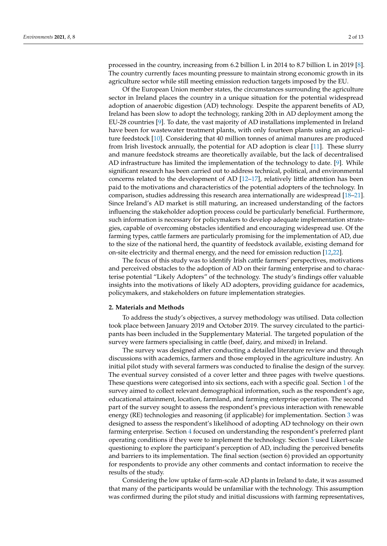processed in the country, increasing from 6.2 billion L in 2014 to 8.7 billion L in 2019 [\[8\]](#page-12-7). The country currently faces mounting pressure to maintain strong economic growth in its agriculture sector while still meeting emission reduction targets imposed by the EU.

Of the European Union member states, the circumstances surrounding the agriculture sector in Ireland places the country in a unique situation for the potential widespread adoption of anaerobic digestion (AD) technology. Despite the apparent benefits of AD, Ireland has been slow to adopt the technology, ranking 20th in AD deployment among the EU-28 countries [\[9\]](#page-12-8). To date, the vast majority of AD installations implemented in Ireland have been for wastewater treatment plants, with only fourteen plants using an agriculture feedstock [\[10\]](#page-12-9). Considering that 40 million tonnes of animal manures are produced from Irish livestock annually, the potential for AD adoption is clear [\[11\]](#page-12-10). These slurry and manure feedstock streams are theoretically available, but the lack of decentralised AD infrastructure has limited the implementation of the technology to date. [\[9\]](#page-12-8). While significant research has been carried out to address technical, political, and environmental concerns related to the development of AD [\[12–](#page-12-11)[17\]](#page-12-12), relatively little attention has been paid to the motivations and characteristics of the potential adopters of the technology. In comparison, studies addressing this research area internationally are widespread [\[18](#page-12-13)[–21\]](#page-12-14). Since Ireland's AD market is still maturing, an increased understanding of the factors influencing the stakeholder adoption process could be particularly beneficial. Furthermore, such information is necessary for policymakers to develop adequate implementation strategies, capable of overcoming obstacles identified and encouraging widespread use. Of the farming types, cattle farmers are particularly promising for the implementation of AD, due to the size of the national herd, the quantity of feedstock available, existing demand for on-site electricity and thermal energy, and the need for emission reduction [\[12](#page-12-11)[,22\]](#page-12-15).

The focus of this study was to identify Irish cattle farmers' perspectives, motivations and perceived obstacles to the adoption of AD on their farming enterprise and to characterise potential "Likely Adopters" of the technology. The study's findings offer valuable insights into the motivations of likely AD adopters, providing guidance for academics, policymakers, and stakeholders on future implementation strategies.

#### **2. Materials and Methods**

To address the study's objectives, a survey methodology was utilised. Data collection took place between January 2019 and October 2019. The survey circulated to the participants has been included in the Supplementary Material. The targeted population of the survey were farmers specialising in cattle (beef, dairy, and mixed) in Ireland.

The survey was designed after conducting a detailed literature review and through discussions with academics, farmers and those employed in the agriculture industry. An initial pilot study with several farmers was conducted to finalise the design of the survey. The eventual survey consisted of a cover letter and three pages with twelve questions. These questions were categorised into six sections, each with a specific goal. Section [1](#page-2-0) of the survey aimed to collect relevant demographical information, such as the respondent's age, educational attainment, location, farmland, and farming enterprise operation. The second part of the survey sought to assess the respondent's previous interaction with renewable energy (RE) technologies and reasoning (if applicable) for implementation. Section [3](#page-5-0) was designed to assess the respondent's likelihood of adopting AD technology on their own farming enterprise. Section [4](#page-9-0) focused on understanding the respondent's preferred plant operating conditions if they were to implement the technology. Section [5](#page-11-0) used Likert-scale questioning to explore the participant's perception of AD, including the perceived benefits and barriers to its implementation. The final section (section 6) provided an opportunity for respondents to provide any other comments and contact information to receive the results of the study.

Considering the low uptake of farm-scale AD plants in Ireland to date, it was assumed that many of the participants would be unfamiliar with the technology. This assumption was confirmed during the pilot study and initial discussions with farming representatives,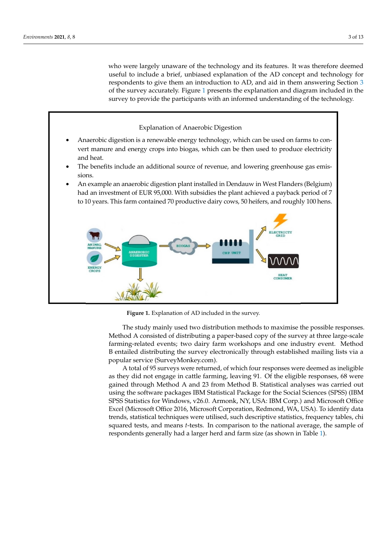who were largely unaware of the technology and its features. It was therefore deemed useful to include a brief, unbiased explanation of the AD concept and technology for respondents to give them an introduction to AD, and aid in them answering Section 3 of the survey accurately. Figure 1 presents the explanation and diagram included in the of the survey accurately. Figure [1](#page-4-0) presents the explanation and diagram included in the survey to provide the participants with an informed understanding of the technology. survey to provide the participants with an informed understanding of the technology.

# <span id="page-4-0"></span>Explanation of Anaerobic Digestion • Anaerobic digestion is a renewable energy technology, which can be used on farms to convert manure and energy crops into biogas, which can be then used to produce electricity and heat. • The benefits include an additional source of revenue, and lowering greenhouse gas emissions. • An example an anaerobic digestion plant installed in Dendauw in West Flanders (Belgium) had an investment of EUR 95,000. With subsidies the plant achieved a payback period of 7 to 10 years. This farm contained 70 productive dairy cows, 50 heifers, and roughly 100 hens.

**Figure 1.** Explanation of AD included in the survey. **Figure 1.** Explanation of AD included in the survey.

The study mainly used two distribution methods to maximise the possible responses. The study mainly used two distribution methods to maximise the possible responses. Method A consisted of distributing a paper-based copy of the survey at three large-scale Method A consisted of distributing a paper-based copy of the survey at three large-scale farming-related events; two dairy farm workshops and one industry event. Method B entailed distributing the survey electronically through established mailing lists via a service (SurveyMonkey.com). popular service (SurveyMonkey.com).

A total of 95 surveys were returned, of which four responses were deemed as ineligible as they did not engage in cattle farming, leaving 91. Of the eligible responses, 68 were were gained through Method A and 23 from Method B. Statistical analyses was carried gained through Method A and 23 from Method B. Statistical analyses was carried out using the software packages IBM Statistical Package for the Social Sciences (SPSS) (IBM SPSS Statistics for Windows, v26.0. Armonk, NY, USA: IBM Corp.) and Microsoft Office  $\overline{a}$ Excel (Microsoft Office 2016, Microsoft Corporation, Redmond, WA, USA). To identify Excel (Microsoft Office 2016, Microsoft Corporation, Redmond, WA, USA). To identify data trends, statistical techniques were utilised, such descriptive statistics, frequency tables, chi squared tests, and means *t*-tests. In comparison to the national average, the sample of respondents generally had a larger herd and farm size (as shown in Table [1\)](#page-5-1).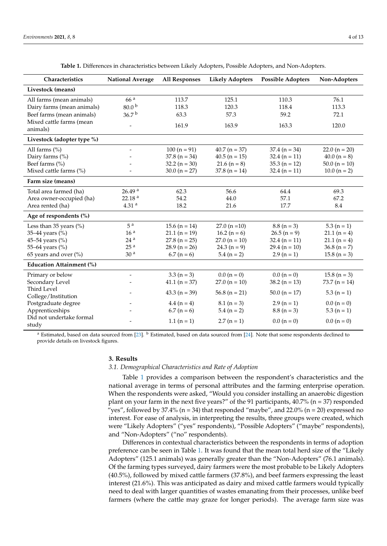<span id="page-5-1"></span>

| Characteristics                      | <b>National Average</b> | <b>All Responses</b> | <b>Likely Adopters</b> | <b>Possible Adopters</b> | Non-Adopters      |
|--------------------------------------|-------------------------|----------------------|------------------------|--------------------------|-------------------|
| Livestock (means)                    |                         |                      |                        |                          |                   |
| All farms (mean animals)             | 66 <sup>a</sup>         | 113.7                | 125.1                  | 110.3                    | 76.1              |
| Dairy farms (mean animals)           | 80.0 <sup>b</sup>       | 118.3                | 120.3                  | 118.4                    | 113.3             |
| Beef farms (mean animals)            | 36.7 <sup>b</sup>       | 63.3                 | 57.3                   | 59.2                     | 72.1              |
| Mixed cattle farms (mean<br>animals) | $\overline{a}$          | 161.9                | 163.9                  | 163.3                    | 120.0             |
| Livestock (adopter type %)           |                         |                      |                        |                          |                   |
| All farms (%)                        |                         | $100 (n = 91)$       | $40.7 (n = 37)$        | $37.4 (n = 34)$          | 22.0 ( $n = 20$ ) |
| Dairy farms (%)                      |                         | $37.8(n = 34)$       | $40.5(n = 15)$         | $32.4 (n = 11)$          | $40.0 (n = 8)$    |
| Beef farms (%)                       |                         | $32.2 (n = 30)$      | $21.6 (n = 8)$         | $35.3 (n = 12)$          | $50.0 (n = 10)$   |
| Mixed cattle farms (%)               |                         | $30.0 (n = 27)$      | $37.8$ (n = 14)        | $32.4 (n = 11)$          | $10.0 (n = 2)$    |
| Farm size (means)                    |                         |                      |                        |                          |                   |
| Total area farmed (ha)               | 26.49 <sup>a</sup>      | 62.3                 | 56.6                   | 64.4                     | 69.3              |
| Area owner-occupied (ha)             | 22.18 <sup>a</sup>      | 54.2                 | 44.0                   | 57.1                     | 67.2              |
| Area rented (ha)                     | 4.31 <sup>a</sup>       | 18.2                 | 21.6                   | 17.7                     | 8.4               |
| Age of respondents (%)               |                         |                      |                        |                          |                   |
| Less than 35 years $(\% )$           | 5 <sup>a</sup>          | 15.6 ( $n = 14$ )    | $27.0(n=10)$           | $8.8(n=3)$               | $5.3(n = 1)$      |
| 35-44 years (%)                      | 16 <sup>a</sup>         | $21.1 (n = 19)$      | 16.2 ( $n = 6$ )       | $26.5 (n = 9)$           | $21.1(n=4)$       |
| 45-54 years (%)                      | 24 <sup>a</sup>         | $27.8(n = 25)$       | $27.0 (n = 10)$        | $32.4 (n = 11)$          | $21.1(n=4)$       |
| 55-64 years (%)                      | 25 <sup>a</sup>         | $28.9(n = 26)$       | 24.3 $(n = 9)$         | 29.4 ( $n = 10$ )        | 36.8 ( $n = 7$ )  |
| 65 years and over (%)                | 30 <sup>a</sup>         | $6.7(n=6)$           | $5.4 (n = 2)$          | $2.9(n = 1)$             | $15.8 (n = 3)$    |
| <b>Education Attainment (%)</b>      |                         |                      |                        |                          |                   |
| Primary or below                     | $\overline{a}$          | $3.3 (n = 3)$        | $0.0 (n = 0)$          | $0.0 (n = 0)$            | $15.8(n=3)$       |
| Secondary Level                      |                         | $41.1 (n = 37)$      | $27.0(n = 10)$         | $38.2 (n = 13)$          | 73.7 ( $n = 14$ ) |
| Third Level<br>College/Institution   |                         | $43.3 (n = 39)$      | $56.8$ (n = 21)        | $50.0 (n = 17)$          | $5.3(n = 1)$      |
| Postgraduate degree                  |                         | $4.4(n=4)$           | $8.1 (n = 3)$          | $2.9(n=1)$               | $0.0 (n = 0)$     |
| Apprenticeships                      |                         | $6.7(n=6)$           | $5.4 (n = 2)$          | $8.8 (n = 3)$            | $5.3(n = 1)$      |
| Did not undertake formal<br>study    |                         | $1.1(n = 1)$         | $2.7(n=1)$             | $0.0 (n = 0)$            | $0.0 (n = 0)$     |

**Table 1.** Differences in characteristics between Likely Adopters, Possible Adopters, and Non-Adopters.

<sup>a</sup> Estimated, based on data sourced from [\[23\]](#page-12-16).  $\frac{b}{c}$  Estimated, based on data sourced from [\[24\]](#page-12-17). Note that some respondents declined to provide details on livestock figures.

#### <span id="page-5-0"></span>**3. Results**

#### *3.1. Demographical Characteristics and Rate of Adoption*

Table [1](#page-5-1) provides a comparison between the respondent's characteristics and the national average in terms of personal attributes and the farming enterprise operation. When the respondents were asked, "Would you consider installing an anaerobic digestion plant on your farm in the next five years?" of the 91 participants,  $40.7\%$  (n = 37) responded "yes", followed by 37.4% ( $n = 34$ ) that responded "maybe", and 22.0% ( $n = 20$ ) expressed no interest. For ease of analysis, in interpreting the results, three groups were created, which were "Likely Adopters" ("yes" respondents), "Possible Adopters" ("maybe" respondents), and "Non-Adopters" ("no" respondents).

Differences in contextual characteristics between the respondents in terms of adoption preference can be seen in Table [1.](#page-5-1) It was found that the mean total herd size of the "Likely Adopters" (125.1 animals) was generally greater than the "Non-Adopters" (76.1 animals). Of the farming types surveyed, dairy farmers were the most probable to be Likely Adopters (40.5%), followed by mixed cattle farmers (37.8%), and beef farmers expressing the least interest (21.6%). This was anticipated as dairy and mixed cattle farmers would typically need to deal with larger quantities of wastes emanating from their processes, unlike beef farmers (where the cattle may graze for longer periods). The average farm size was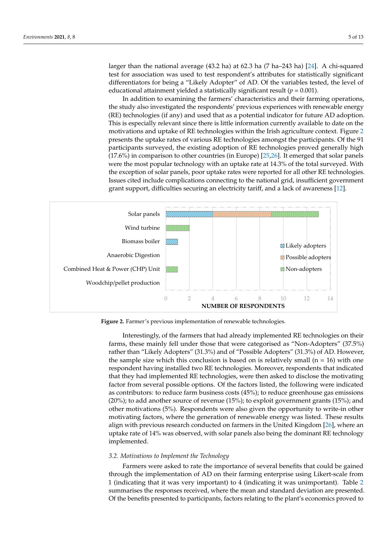larger than the national average (43.2 ha) at 62.3 ha (7 ha–243 ha) [\[24\]](#page-12-17). A chi-squared test for association was used to test respondent's attributes for statistically significant differentiators for being a "Likely Adopter" of AD. Of the variables tested, the level of educational attainment yielded a statistically significant result (*p* = 0.001).

> In addition to examining the farmers' characteristics and their farming operations, In addition to examining the farmers' characteristics and their farming operations, the study also investigated the respondents' previous experiences with renewable energy the study also investigated the respondents' previous experiences with renewable energy (RE) technologies (if any) and used that as a potential indicator for future AD adoption. (RE) technologies (if any) and used that as a potential indicator for future AD adoption. This is especially relevant since there is little information currently available to date on the This is especially relevant since there is little information currently available to date on motivations and uptake of RE technologies within the Irish agricultu[re](#page-6-0) context. Figure 2 presents the uptake rates of various RE technologies amongst the participants. Of the 91 participants surveyed, the existing adoption of RE technologies proved generally high participants surveyed, the existing adoption of RE technologies proved generally high  $(17.6%)$  in comparison to other countries (in Europe)  $[25,26]$  $[25,26]$ . It emerged that solar panels were the most popular technology with an uptake rate at 14.3% of the total surveyed. With were the most popular technology with an uptake rate at 14.3% of the total surveyed. With the exception of solar panels, poor uptake rates were reported for all other RE technologies. the exception of solar panels, poor uptake rates were reported for all other RE technologies. Issues cited include complications connecting to the national grid, insufficient government Issues cited include complications connecting to the national grid, insufficient government grant support, difficulties securing an electricity tariff, and a lack of awareness [\[12\]](#page-12-11). grant support, difficulties securing an electricity tariff, and a lack of awareness [12].

<span id="page-6-0"></span>

**Figure 2.** Farmer's previous implementation of renewable technologies. **Figure 2.** Farmer's previous implementation of renewable technologies.

Interestingly, of the farmers that had already implemented RE technologies on their Interestingly, of the farmers that had already implemented RE technologies on their farms, these mainly fell under those that were categorised as "Non-Adopters" (37.5%) farms, these mainly fell under those that were categorised as "Non-Adopters" (37.5%) rather than "Likely Adopters" (31.3%) and of "Possible Adopters" (31.3%) of AD. However, the sample size which this conclusion is based on is relatively small ( $n = 16$ ) with one respondent having installed two RE technologies. Moreover, respondents that indicated that they had implemented RE technologies, were then asked to disclose the motivating that they had implemented RE technologies, were then asked to disclose the motivating factor from several possible options. Of the factors listed, the following were indicated contributors: to reduce farm business costs (45%); to reduce greenhouse gas emissions as contributors: to reduce farm business costs (45%); to reduce greenhouse gas emissions (20%); to add another source of revenue (15%); to exploit government grants (15%); and (20%); to add another source of revenue (15%); to exploit government grants (15%); and other motivations (5%). Respondents were also given the opportunity to write-in other motivating factors, where the generation of renewable energy was listed. These results align with previous research conducted on farmers in the United Kingdom [\[26\]](#page-13-1), where an take rate of 14% was observed, with solar panels also being the dominant RE technology uptake rate of 14% was observed, with solar panels also being the dominant RE technology implemented. implemented.

## *3.2. Motivations to Implement the Technology 3.2. Motivations to Implement the Technology*

Farmers were asked to rate the importance of several benefits that could be gained through the implementation of AD on their farming enterprise using Likert-scale from 1 (indicating that it was very important) to 4 (indicating it was unimportant). Table [2](#page-7-0) summarises the responses received, where the mean and standard deviation are presented. Of the benefits presented to participants, factors relating to the plant's economics proved to the benefits presented to participants, factors relating to the plant's economics proved to Of the benefits presented to participants, factors relating to the plant's economics proved toFarmers were asked to rate the importance of several benefits that could be gained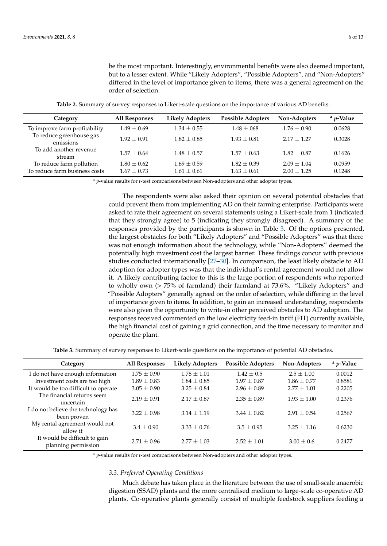be the most important. Interestingly, environmental benefits were also deemed important, but to a lesser extent. While "Likely Adopters", "Possible Adopters", and "Non-Adopters" differed in the level of importance given to items, there was a general agreement on the order of selection.

| <b>Table 2.</b> Summary of survey responses to Likert-scale questions on the importance of various AD benefits. |  |  |  |  |  |  |
|-----------------------------------------------------------------------------------------------------------------|--|--|--|--|--|--|
|-----------------------------------------------------------------------------------------------------------------|--|--|--|--|--|--|

<span id="page-7-0"></span>

| Category                                                  | All Responses                    | <b>Likely Adopters</b>             | <b>Possible Adopters</b>         | Non-Adopters                     | $a$ <i>p</i> -Value |
|-----------------------------------------------------------|----------------------------------|------------------------------------|----------------------------------|----------------------------------|---------------------|
| To improve farm profitability                             | $1.49 \pm 0.69$                  | $1.34 + 0.55$                      | $1.48 \pm 068$                   | $1.76 + 0.90$                    | 0.0628              |
| To reduce greenhouse gas<br>emissions                     | $1.92 \pm 0.91$                  | $1.82 + 0.85$                      | $1.93 + 0.81$                    | $2.17 + 1.27$                    | 0.3028              |
| To add another revenue<br>stream                          | $1.57 + 0.64$                    | $1.48 + 0.57$                      | $1.57 + 0.63$                    | $1.82 + 0.87$                    | 0.1626              |
| To reduce farm pollution<br>To reduce farm business costs | $1.80 \pm 0.62$<br>$1.67 + 0.73$ | $1.69 \pm 0.59$<br>$1.61 \pm 0.61$ | $1.82 + 0.39$<br>$1.63 \pm 0.61$ | $2.09 + 1.04$<br>$2.00 \pm 1.25$ | 0.0959<br>0.1248    |

<sup>a</sup> *p*-value results for *t*-test comparisons between Non-adopters and other adopter types.

The respondents were also asked their opinion on several potential obstacles that could prevent them from implementing AD on their farming enterprise. Participants were asked to rate their agreement on several statements using a Likert-scale from 1 (indicated that they strongly agree) to 5 (indicating they strongly disagreed). A summary of the responses provided by the participants is shown in Table [3.](#page-7-1) Of the options presented, the largest obstacles for both "Likely Adopters" and "Possible Adopters" was that there was not enough information about the technology, while "Non-Adopters" deemed the potentially high investment cost the largest barrier. These findings concur with previous studies conducted internationally [\[27](#page-13-2)[–30\]](#page-13-3). In comparison, the least likely obstacle to AD adoption for adopter types was that the individual's rental agreement would not allow it. A likely contributing factor to this is the large portion of respondents who reported to wholly own (> 75% of farmland) their farmland at 73.6%. "Likely Adopters" and "Possible Adopters" generally agreed on the order of selection, while differing in the level of importance given to items. In addition, to gain an increased understanding, respondents were also given the opportunity to write-in other perceived obstacles to AD adoption. The responses received commented on the low electricity feed-in tariff (FIT) currently available, the high financial cost of gaining a grid connection, and the time necessary to monitor and operate the plant.

**Table 3.** Summary of survey responses to Likert-scale questions on the importance of potential AD obstacles.

<span id="page-7-1"></span>

| Category                                             | <b>All Responses</b> | <b>Likely Adopters</b> | <b>Possible Adopters</b> | Non-Adopters    | <sup>a</sup> <i>p</i> -Value |
|------------------------------------------------------|----------------------|------------------------|--------------------------|-----------------|------------------------------|
| I do not have enough information                     | $1.75 + 0.90$        | $1.78 + 1.01$          | $1.42 + 0.5$             | $2.5 + 1.00$    | 0.0012                       |
| Investment costs are too high                        | $1.89 \pm 0.83$      | $1.84 \pm 0.85$        | $1.97 \pm 0.87$          | $1.86 \pm 0.77$ | 0.8581                       |
| It would be too difficult to operate                 | $3.05 + 0.90$        | $3.25 + 0.84$          | $2.96 \pm 0.89$          | $2.77 + 1.01$   | 0.2205                       |
| The financial returns seem<br>uncertain              | $2.19 \pm 0.91$      | $2.17 + 0.87$          | $2.35 + 0.89$            | $1.93 + 1.00$   | 0.2376                       |
| I do not believe the technology has<br>been proven   | $3.22 \pm 0.98$      | $3.14 + 1.19$          | $3.44 \pm 0.82$          | $2.91 \pm 0.54$ | 0.2567                       |
| My rental agreement would not<br>allow it            | $3.4 + 0.90$         | $3.33 \pm 0.76$        | $3.5 \pm 0.95$           | $3.25 \pm 1.16$ | 0.6230                       |
| It would be difficult to gain<br>planning permission | $2.71 \pm 0.96$      | $2.77 + 1.03$          | $2.52 \pm 1.01$          | $3.00 \pm 0.6$  | 0.2477                       |

<sup>a</sup> *p*-value results for *t*-test comparisons between Non-adopters and other adopter types.

#### *3.3. Preferred Operating Conditions*

Much debate has taken place in the literature between the use of small-scale anaerobic digestion (SSAD) plants and the more centralised medium to large-scale co-operative AD plants. Co-operative plants generally consist of multiple feedstock suppliers feeding a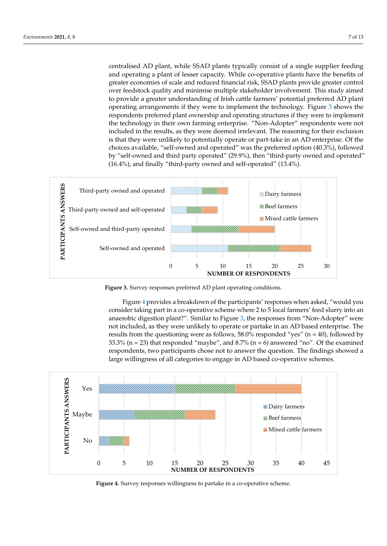centralised AD plant, while SSAD plants typically consist of a single supplier feeding and operating a plant of lesser capacity. While co-operative plants have the benefits of greater economies of scale and reduced financial risk, SSAD plants provide greater control over feedstock quality and minimise multiple stakeholder involvement. This study aimed to provide a greater understanding of Irish cattle farmers' potential preferred AD plant operating arrangements if they were to implement the technology. Figure [3](#page-8-0) shows the respondents preferred plant ownership and operating structures if they were to implement the technology in their own farming enterprise. "Non-Adopter" respondents were not included in the results, as they were deemed irrelevant. The reasoning for their exclusion is that they were unlikely to potentially operate or part-take in an AD enterprise. Of the choices available, "self-owned and operated" was the preferred option (40.3%), followed by "self-owned and third party operated" (29.9%), then "third-party owned and operated" (16.4%), and finally "third-party owned and self-operated" (13.4%). operated" (16.4%), and finally "third-party owned and self-operated" (13.4%).

<span id="page-8-0"></span>

**Figure 3.** Survey responses preferred AD plant operating conditions**. Figure 3.** Survey responses preferred AD plant operating conditions.

Figure 4 provides a breakdown of the participants' responses when asked, "would Figure 4 provides a breakdown of the participants' responses when asked, "would you Figure 4 provides a breakdown of the participants' responses when asked, "would you<br>consid[er](#page-8-1) taking part in a co-operative scheme where 2 to 5 local farmers' feed slurry into an anaerobic digestion plant?". Simila[r](#page-8-0) to Figure 3, the responses from "Non-Adopter" were not included, as they were unlikely to operate or partake in an AD based enterprise. The results from the questioning were as follows, 58.0% responded "yes" ( $n = 40$ ), followed by 33.3% ( $n = 23$ ) that responded "maybe", and 8.7% ( $n = 6$ ) answered "no". Of the examined respondents, two participants chose not to answer the question. The findings showed a large willingness of all categories to engage in AD based co-operative schemes. results from the questioning were as follows, 58.0% responded "yes" ( $n = 40$ ), followed by 33.3% ( $n = 23$ ) that responded "maybe", and 8.7% ( $n = 6$ ) answered "no". Of the examined respondents, two participants chose not t

Figure 4 provides a breakdown of the participants' responses when asked, "would

<span id="page-8-1"></span>

**Figure 4.** Survey responses willingness to partake in a co-operative scheme.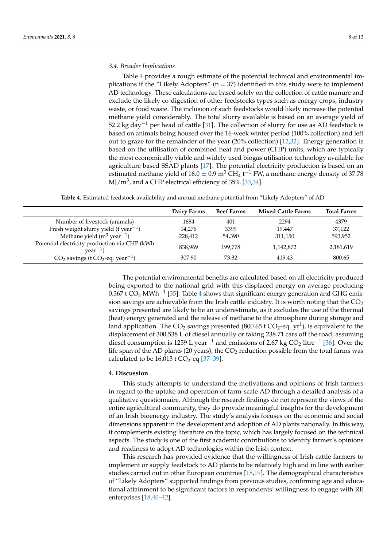#### *3.4. Broader Implications*

Table [4](#page-9-1) provides a rough estimate of the potential technical and environmental implications if the "Likely Adopters" ( $n = 37$ ) identified in this study were to implement AD technology. These calculations are based solely on the collection of cattle manure and exclude the likely co-digestion of other feedstocks types such as energy crops, industry waste, or food waste. The inclusion of such feedstocks would likely increase the potential methane yield considerably. The total slurry available is based on an average yield of 52.2 kg day<sup>-1</sup> per head of cattle [\[31\]](#page-13-4). The collection of slurry for use as AD feedstock is based on animals being housed over the 16-week winter period (100% collection) and left out to graze for the remainder of the year (20% collection) [\[12,](#page-12-11)[32\]](#page-13-5). Energy generation is based on the utilisation of combined heat and power (CHP) units, which are typically the most economically viable and widely used biogas utilisation technology available for agriculture based SSAD plants [\[17\]](#page-12-12). The potential electricity production is based on an estimated methane yield of  $16.0 \pm 0.9$  m<sup>3</sup> CH<sub>4</sub> t<sup>-1</sup> FW, a methane energy density of 37.78 MJ/m $^3$ , and a CHP electrical efficiency of 35% [\[33,](#page-13-6)[34\]](#page-13-7).

**Table 4.** Estimated feedstock availability and annual methane potential from "Likely Adopters" of AD.

<span id="page-9-1"></span>

|                                                                | Dairy Farms | <b>Beef Farms</b> | <b>Mixed Cattle Farms</b> | <b>Total Farms</b> |
|----------------------------------------------------------------|-------------|-------------------|---------------------------|--------------------|
| Number of livestock (animals)                                  | 1684        | 401               | 2294                      | 4379               |
| Fresh weight slurry yield (t year <sup>-1</sup> )              | 14,276      | 3399              | 19.447                    | 37,122             |
| Methane yield $(m^3 \text{ year}^{-1})$                        | 228,412     | 54.390            | 311,150                   | 593,952            |
| Potential electricity production via CHP (kWh<br>$year^{-1}$ ) | 838,969     | 199.778           | 1,142,872                 | 2,181,619          |
| $CO2$ savings (t $CO2$ -eq. year <sup>-1</sup> )               | 307.90      | 73.32             | 419.43                    | 800.65             |

The potential environmental benefits are calculated based on all electricity produced being exported to the national grid with this displaced energy on average producing 0.367 t  $CO<sub>2</sub>$  MWh<sup>-1</sup> [\[35\]](#page-13-8). Table [4](#page-9-1) shows that significant energy generation and GHG emission savings are achievable from the Irish cattle industry. It is worth noting that the  $CO<sub>2</sub>$ savings presented are likely to be an underestimate, as it excludes the use of the thermal (heat) energy generated and the release of methane to the atmosphere during storage and land application. The CO<sub>2</sub> savings presented (800.65 t CO<sub>2</sub>-eq. yr<sup>1</sup>), is equivalent to the displacement of 300,538 L of diesel annually or taking 238.71 cars off the road, assuming diesel consumption is 1259 L year<sup>-1</sup> and emissions of 2.67 kg CO<sub>2</sub> litre<sup>-1</sup> [\[36\]](#page-13-9). Over the life span of the AD plants (20 years), the  $CO<sub>2</sub>$  reduction possible from the total farms was calculated to be  $16,013$  t CO<sub>2</sub>-eq [37-[39\]](#page-13-11).

#### <span id="page-9-0"></span>**4. Discussion**

This study attempts to understand the motivations and opinions of Irish farmers in regard to the uptake and operation of farm-scale AD through a detailed analysis of a qualitative questionnaire. Although the research findings do not represent the views of the entire agricultural community, they do provide meaningful insights for the development of an Irish bioenergy industry. The study's analysis focuses on the economic and social dimensions apparent in the development and adoption of AD plants nationally. In this way, it complements existing literature on the topic, which has largely focused on the technical aspects. The study is one of the first academic contributions to identify farmer's opinions and readiness to adopt AD technologies within the Irish context.

This research has provided evidence that the willingness of Irish cattle farmers to implement or supply feedstock to AD plants to be relatively high and in line with earlier studies carried out in other European countries [\[18](#page-12-13)[,19\]](#page-12-18). The demographical characteristics of "Likely Adopters" supported findings from previous studies, confirming age and educational attainment to be significant factors in respondents' willingness to engage with RE enterprises [\[18,](#page-12-13)[40–](#page-13-12)[42\]](#page-13-13).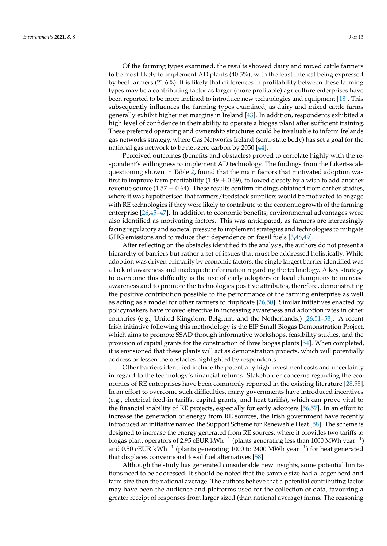Of the farming types examined, the results showed dairy and mixed cattle farmers to be most likely to implement AD plants (40.5%), with the least interest being expressed by beef farmers (21.6%). It is likely that differences in profitability between these farming types may be a contributing factor as larger (more profitable) agriculture enterprises have been reported to be more inclined to introduce new technologies and equipment [\[18\]](#page-12-13). This subsequently influences the farming types examined, as dairy and mixed cattle farms generally exhibit higher net margins in Ireland [\[43\]](#page-13-14). In addition, respondents exhibited a high level of confidence in their ability to operate a biogas plant after sufficient training. These preferred operating and ownership structures could be invaluable to inform Irelands gas networks strategy, where Gas Networks Ireland (semi-state body) has set a goal for the national gas network to be net-zero carbon by 2050 [\[44\]](#page-13-15).

Perceived outcomes (benefits and obstacles) proved to correlate highly with the respondent's willingness to implement AD technology. The findings from the Likert-scale questioning shown in Table [2,](#page-7-0) found that the main factors that motivated adoption was first to improve farm profitability (1.49  $\pm$  0.69), followed closely by a wish to add another revenue source (1.57  $\pm$  0.64). These results confirm findings obtained from earlier studies, where it was hypothesised that farmers/feedstock suppliers would be motivated to engage with RE technologies if they were likely to contribute to the economic growth of the farming enterprise [\[26](#page-13-1)[,45–](#page-13-16)[47\]](#page-13-17). In addition to economic benefits, environmental advantages were also identified as motivating factors. This was anticipated, as farmers are increasingly facing regulatory and societal pressure to implement strategies and technologies to mitigate GHG emissions and to reduce their dependence on fossil fuels [\[3](#page-12-2)[,48](#page-13-18)[,49\]](#page-13-19).

After reflecting on the obstacles identified in the analysis, the authors do not present a hierarchy of barriers but rather a set of issues that must be addressed holistically. While adoption was driven primarily by economic factors, the single largest barrier identified was a lack of awareness and inadequate information regarding the technology. A key strategy to overcome this difficulty is the use of early adopters or local champions to increase awareness and to promote the technologies positive attributes, therefore, demonstrating the positive contribution possible to the performance of the farming enterprise as well as acting as a model for other farmers to duplicate [\[26](#page-13-1)[,50\]](#page-13-20). Similar initiatives enacted by policymakers have proved effective in increasing awareness and adoption rates in other countries (e.g., United Kingdom, Belgium, and the Netherlands,) [\[26](#page-13-1)[,51–](#page-13-21)[53\]](#page-14-0). A recent Irish initiative following this methodology is the EIP Small Biogas Demonstration Project, which aims to promote SSAD through informative workshops, feasibility studies, and the provision of capital grants for the construction of three biogas plants [\[54\]](#page-14-1). When completed, it is envisioned that these plants will act as demonstration projects, which will potentially address or lessen the obstacles highlighted by respondents.

Other barriers identified include the potentially high investment costs and uncertainty in regard to the technology's financial returns. Stakeholder concerns regarding the economics of RE enterprises have been commonly reported in the existing literature [\[28,](#page-13-22)[55\]](#page-14-2). In an effort to overcome such difficulties, many governments have introduced incentives (e.g., electrical feed-in tariffs, capital grants, and heat tariffs), which can prove vital to the financial viability of RE projects, especially for early adopters [\[56](#page-14-3)[,57\]](#page-14-4). In an effort to increase the generation of energy from RE sources, the Irish government have recently introduced an initiative named the Support Scheme for Renewable Heat [\[58\]](#page-14-5). The scheme is designed to increase the energy generated from RE sources, where it provides two tariffs to biogas plant operators of 2.95  $\rm cEUR$  kWh $^{-1}$  (plants generating less than 1000 MWh year $^{-1})$ and 0.50 cEUR kWh−<sup>1</sup> (plants generating 1000 to 2400 MWh year−<sup>1</sup> ) for heat generated that displaces conventional fossil fuel alternatives [\[58\]](#page-14-5).

Although the study has generated considerable new insights, some potential limitations need to be addressed. It should be noted that the sample size had a larger herd and farm size then the national average. The authors believe that a potential contributing factor may have been the audience and platforms used for the collection of data, favouring a greater receipt of responses from larger sized (than national average) farms. The reasoning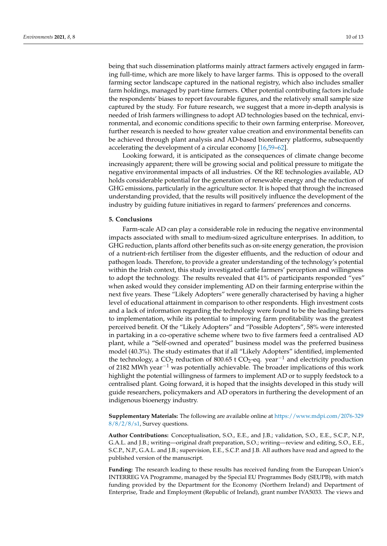being that such dissemination platforms mainly attract farmers actively engaged in farming full-time, which are more likely to have larger farms. This is opposed to the overall farming sector landscape captured in the national registry, which also includes smaller farm holdings, managed by part-time farmers. Other potential contributing factors include the respondents' biases to report favourable figures, and the relatively small sample size captured by the study. For future research, we suggest that a more in-depth analysis is needed of Irish farmers willingness to adopt AD technologies based on the technical, environmental, and economic conditions specific to their own farming enterprise. Moreover, further research is needed to how greater value creation and environmental benefits can be achieved through plant analysis and AD-based biorefinery platforms, subsequently accelerating the development of a circular economy [\[16](#page-12-19)[,59](#page-14-6)[–62\]](#page-14-7).

Looking forward, it is anticipated as the consequences of climate change become increasingly apparent; there will be growing social and political pressure to mitigate the negative environmental impacts of all industries. Of the RE technologies available, AD holds considerable potential for the generation of renewable energy and the reduction of GHG emissions, particularly in the agriculture sector. It is hoped that through the increased understanding provided, that the results will positively influence the development of the industry by guiding future initiatives in regard to farmers' preferences and concerns.

#### <span id="page-11-0"></span>**5. Conclusions**

Farm-scale AD can play a considerable role in reducing the negative environmental impacts associated with small to medium-sized agriculture enterprises. In addition, to GHG reduction, plants afford other benefits such as on-site energy generation, the provision of a nutrient-rich fertiliser from the digester effluents, and the reduction of odour and pathogen loads. Therefore, to provide a greater understanding of the technology's potential within the Irish context, this study investigated cattle farmers' perception and willingness to adopt the technology. The results revealed that 41% of participants responded "yes" when asked would they consider implementing AD on their farming enterprise within the next five years. These "Likely Adopters" were generally characterised by having a higher level of educational attainment in comparison to other respondents. High investment costs and a lack of information regarding the technology were found to be the leading barriers to implementation, while its potential to improving farm profitability was the greatest perceived benefit. Of the "Likely Adopters" and "Possible Adopters", 58% were interested in partaking in a co-operative scheme where two to five farmers feed a centralised AD plant, while a "Self-owned and operated" business model was the preferred business model (40.3%). The study estimates that if all "Likely Adopters" identified, implemented the technology, a CO<sub>2</sub> reduction of 800.65 t CO<sub>2</sub>-eq. year<sup>-1</sup> and electricity production of 2182 MWh year−<sup>1</sup> was potentially achievable. The broader implications of this work highlight the potential willingness of farmers to implement AD or to supply feedstock to a centralised plant. Going forward, it is hoped that the insights developed in this study will guide researchers, policymakers and AD operators in furthering the development of an indigenous bioenergy industry.

**Supplementary Materials:** The following are available online at [https://www.mdpi.com/2076-329](https://www.mdpi.com/2076-3298/8/2/8/s1) [8/8/2/8/s1,](https://www.mdpi.com/2076-3298/8/2/8/s1) Survey questions.

**Author Contributions:** Conceptualisation, S.O., E.E., and J.B.; validation, S.O., E.E., S.C.P., N.P., G.A.L. and J.B.; writing—original draft preparation, S.O.; writing—review and editing, S.O., E.E., S.C.P., N.P., G.A.L. and J.B.; supervision, E.E., S.C.P. and J.B. All authors have read and agreed to the published version of the manuscript.

**Funding:** The research leading to these results has received funding from the European Union's INTERREG VA Programme, managed by the Special EU Programmes Body (SEUPB), with match funding provided by the Department for the Economy (Northern Ireland) and Department of Enterprise, Trade and Employment (Republic of Ireland), grant number IVA5033. The views and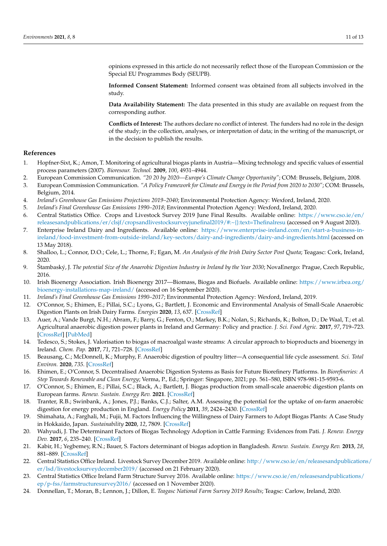opinions expressed in this article do not necessarily reflect those of the European Commission or the Special EU Programmes Body (SEUPB).

**Informed Consent Statement:** Informed consent was obtained from all subjects involved in the study.

**Data Availability Statement:** The data presented in this study are available on request from the corresponding author.

**Conflicts of Interest:** The authors declare no conflict of interest. The funders had no role in the design of the study; in the collection, analyses, or interpretation of data; in the writing of the manuscript, or in the decision to publish the results.

#### **References**

- <span id="page-12-0"></span>1. Hopfner-Sixt, K.; Amon, T. Monitoring of agricultural biogas plants in Austria—Mixing technology and specific values of essential process parameters (2007). *Bioresour. Technol.* **2009**, *100*, 4931–4944.
- <span id="page-12-1"></span>2. European Commission Communication. *"20 20 by 2020—Europe's Climate Change Opportunity"*; COM: Brussels, Belgium, 2008.
- <span id="page-12-2"></span>3. European Commission Communication. *"A Policy Framework for Climate and Energy in the Period from 2020 to 2030"*; COM: Brussels, Belgium, 2014.
- <span id="page-12-3"></span>4. *Ireland's Greenhouse Gas Emissions Projections 2019–2040*; Environmental Protection Agency: Wexford, Ireland, 2020.
- <span id="page-12-4"></span>5. *Ireland's Final Greenhouse Gas Emissions 1990–2018*; Environmental Protection Agency: Wexford, Ireland, 2020.
- <span id="page-12-5"></span>6. Central Statistics Office. Crops and Livestock Survey 2019 June Final Results. Available online: [https://www.cso.ie/en/](https://www.cso.ie/en/releasesandpublications/er/clsjf/cropsandlivestocksurveyjunefinal2019/#:~{}:text=Thefinalresu) [releasesandpublications/er/clsjf/cropsandlivestocksurveyjunefinal2019/#:~{}:text=Thefinalresu](https://www.cso.ie/en/releasesandpublications/er/clsjf/cropsandlivestocksurveyjunefinal2019/#:~{}:text=Thefinalresu) (accessed on 9 August 2020).
- <span id="page-12-6"></span>7. Enterprise Ireland Dairy and Ingredients. Available online: [https://www.enterprise-ireland.com/en/start-a-business-in](https://www.enterprise-ireland.com/en/start-a-business-in-ireland/food-investment-from-outside-ireland/key-sectors/dairy-and-ingredients/dairy-and-ingredients.html)[ireland/food-investment-from-outside-ireland/key-sectors/dairy-and-ingredients/dairy-and-ingredients.html](https://www.enterprise-ireland.com/en/start-a-business-in-ireland/food-investment-from-outside-ireland/key-sectors/dairy-and-ingredients/dairy-and-ingredients.html) (accessed on 13 May 2018).
- <span id="page-12-7"></span>8. Shalloo, L.; Connor, D.O.; Cele, L.; Thorne, F.; Egan, M. *An Analysis of the Irish Dairy Sector Post Quota*; Teagasc: Cork, Ireland, 2020.
- <span id="page-12-8"></span>9. Štambaský, J. *The potential Size of the Anaerobic Digestion Industry in Ireland by the Year 2030*; NovaEnergo: Prague, Czech Republic, 2016.
- <span id="page-12-9"></span>10. Irish Bioenergy Association. Irish Bioenergy 2017—Biomass, Biogas and Biofuels. Available online: [https://www.irbea.org/](https://www.irbea.org/bioenergy-installations-map-ireland/) [bioenergy-installations-map-ireland/](https://www.irbea.org/bioenergy-installations-map-ireland/) (accessed on 16 September 2020).
- <span id="page-12-10"></span>11. *Ireland's Final Greenhouse Gas Emissions 1990–2017*; Environmental Protection Agency: Wexford, Ireland, 2019.
- <span id="page-12-11"></span>12. O'Connor, S.; Ehimen, E.; Pillai, S.C.; Lyons, G.; Bartlett, J. Economic and Environmental Analysis of Small-Scale Anaerobic Digestion Plants on Irish Dairy Farms. *Energies* **2020**, *13*, 637. [\[CrossRef\]](http://doi.org/10.3390/en13030637)
- 13. Auer, A.; Vande Burgt, N.H.; Abram, F.; Barry, G.; Fenton, O.; Markey, B.K.; Nolan, S.; Richards, K.; Bolton, D.; De Waal, T.; et al. Agricultural anaerobic digestion power plants in Ireland and Germany: Policy and practice. *J. Sci. Food Agric.* **2017**, *97*, 719–723. [\[CrossRef\]](http://doi.org/10.1002/jsfa.8005) [\[PubMed\]](http://www.ncbi.nlm.nih.gov/pubmed/27553887)
- 14. Tedesco, S.; Stokes, J. Valorisation to biogas of macroalgal waste streams: A circular approach to bioproducts and bioenergy in Ireland. *Chem. Pap.* **2017**, *71*, 721–728. [\[CrossRef\]](http://doi.org/10.1007/s11696-016-0005-7)
- 15. Beausang, C.; McDonnell, K.; Murphy, F. Anaerobic digestion of poultry litter—A consequential life cycle assessment. *Sci. Total Environ.* **2020**, *735*. [\[CrossRef\]](http://doi.org/10.1016/j.scitotenv.2020.139494)
- <span id="page-12-19"></span>16. Ehimen, E.; O'Connor, S. Decentralised Anaerobic Digestion Systems as Basis for Future Biorefinery Platforms. In *Biorefineries: A Step Towards Renewable and Clean Energy*; Verma, P., Ed.; Springer: Singapore, 2021; pp. 561–580, ISBN 978-981-15-9593-6.
- <span id="page-12-12"></span>17. O'Connor, S.; Ehimen, E.; Pillai, S.C.; Black, A.; Bartlett, J. Biogas production from small-scale anaerobic digestion plants on European farms. *Renew. Sustain. Energy Rev.* **2021**. [\[CrossRef\]](http://doi.org/10.1016/j.rser.2020.110580)
- <span id="page-12-13"></span>18. Tranter, R.B.; Swinbank, A.; Jones, P.J.; Banks, C.J.; Salter, A.M. Assessing the potential for the uptake of on-farm anaerobic digestion for energy production in England. *Energy Policy* **2011**, *39*, 2424–2430. [\[CrossRef\]](http://doi.org/10.1016/j.enpol.2011.01.065)
- <span id="page-12-18"></span>19. Shimahata, A.; Farghali, M.; Fujii, M. Factors Influencing the Willingness of Dairy Farmers to Adopt Biogas Plants: A Case Study in Hokkaido, Japan. *Sustainability* **2020**, *12*, 7809. [\[CrossRef\]](http://doi.org/10.3390/su12187809)
- 20. Wahyudi, J. The Determinant Factors of Biogas Technology Adoption in Cattle Farming: Evidences from Pati. *J. Renew. Energy Dev.* **2017**, *6*, 235–240. [\[CrossRef\]](http://doi.org/10.14710/ijred.6.3.235-240)
- <span id="page-12-14"></span>21. Kabir, H.; Yegbemey, R.N.; Bauer, S. Factors determinant of biogas adoption in Bangladesh. *Renew. Sustain. Energy Rev.* **2013**, *28*, 881–889. [\[CrossRef\]](http://doi.org/10.1016/j.rser.2013.08.046)
- <span id="page-12-15"></span>22. Central Statistics Office Ireland. Livestock Survey December 2019. Available online: [http://www.cso.ie/en/releasesandpublication](http://www.cso.ie/en/releasesandpublications/er/lsd/livestocksurveydecember2019/)s/ [er/lsd/livestocksurveydecember2019/](http://www.cso.ie/en/releasesandpublications/er/lsd/livestocksurveydecember2019/) (accessed on 21 February 2020).
- <span id="page-12-16"></span>23. Central Statistics Office Ireland Farm Structure Survey 2016. Available online: [https://www.cso.ie/en/releasesandpublications/](https://www.cso.ie/en/releasesandpublications/ep/p-fss/farmstructuresurvey2016/) [ep/p-fss/farmstructuresurvey2016/](https://www.cso.ie/en/releasesandpublications/ep/p-fss/farmstructuresurvey2016/) (accessed on 1 November 2020).
- <span id="page-12-17"></span>24. Donnellan, T.; Moran, B.; Lennon, J.; Dillon, E. *Teagasc National Farm Survey 2019 Results*; Teagsc: Carlow, Ireland, 2020.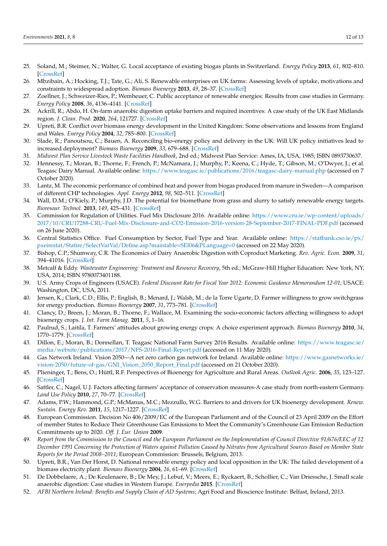- <span id="page-13-0"></span>25. Soland, M.; Steimer, N.; Walter, G. Local acceptance of existing biogas plants in Switzerland. *Energy Policy* **2013**, *61*, 802–810. [\[CrossRef\]](http://doi.org/10.1016/j.enpol.2013.06.111)
- <span id="page-13-1"></span>26. Mbzibain, A.; Hocking, T.J.; Tate, G.; Ali, S. Renewable enterprises on UK farms: Assessing levels of uptake, motivations and constraints to widespread adoption. *Biomass Bioenergy* **2013**, *49*, 28–37. [\[CrossRef\]](http://doi.org/10.1016/j.biombioe.2012.11.028)
- <span id="page-13-2"></span>27. Zoellner, J.; Schweizer-Ries, P.; Wemheuer, C. Public acceptance of renewable energies: Results from case studies in Germany. *Energy Policy* **2008**, *36*, 4136–4141. [\[CrossRef\]](http://doi.org/10.1016/j.enpol.2008.06.026)
- <span id="page-13-22"></span>28. Ackrill, R.; Abdo, H. On-farm anaerobic digestion uptake barriers and required incentives: A case study of the UK East Midlands region. *J. Clean. Prod.* **2020**, *264*, 121727. [\[CrossRef\]](http://doi.org/10.1016/j.jclepro.2020.121727)
- 29. Upreti, B.R. Conflict over biomass energy development in the United Kingdom: Some observations and lessons from England and Wales. *Energy Policy* **2004**, *32*, 785–800. [\[CrossRef\]](http://doi.org/10.1016/S0301-4215(02)00342-7)
- <span id="page-13-3"></span>30. Slade, R.; Panoutsou, C.; Bauen, A. Reconciling bio-energy policy and delivery in the UK: Will UK policy initiatives lead to increased deployment? *Biomass Bioenergy* **2009**, *33*, 679–688. [\[CrossRef\]](http://doi.org/10.1016/j.biombioe.2008.10.007)
- <span id="page-13-4"></span>31. *Midwest Plan Service Livestock Waste Facilities Handbook*, 2nd ed.; Midwest Plan Service: Ames, IA, USA, 1985; ISBN 0893730637.
- <span id="page-13-5"></span>32. Hennessy, T.; Moran, B.; Thorne, F.; French, P.; McNamara, J.; Murphy, P.; Keena, C.; Hyde, T.; Gibson, M.; O'Dwyer, J.; et al. Teagasc Dairy Manual. Available online: <https://www.teagasc.ie/publications/2016/teagasc-dairy-manual.php> (accessed on 7 October 2020).
- <span id="page-13-6"></span>33. Lantz, M. The economic performance of combined heat and power from biogas produced from manure in Sweden—A comparison of different CHP technologies. *Appl. Energy* **2012**, *98*, 502–511. [\[CrossRef\]](http://doi.org/10.1016/j.apenergy.2012.04.015)
- <span id="page-13-7"></span>34. Wall, D.M.; O'Kiely, P.; Murphy, J.D. The potential for biomethane from grass and slurry to satisfy renewable energy targets. *Bioresour. Technol.* **2013**, *149*, 425–431. [\[CrossRef\]](http://doi.org/10.1016/j.biortech.2013.09.094)
- <span id="page-13-8"></span>35. Commission for Regulation of Utilities. Fuel Mix Disclosure 2016. Available online: [https://www.cru.ie/wp-content/uploads/](https://www.cru.ie/wp-content/uploads/2017/10/CRU17288-CRU-Fuel-Mix-Disclosure-and-CO2-Emission-2016-version-28-September-2017-FINAL-PDF.pdf) [2017/10/CRU17288-CRU-Fuel-Mix-Disclosure-and-CO2-Emission-2016-version-28-September-2017-FINAL-PDF.pdf](https://www.cru.ie/wp-content/uploads/2017/10/CRU17288-CRU-Fuel-Mix-Disclosure-and-CO2-Emission-2016-version-28-September-2017-FINAL-PDF.pdf) (accessed on 26 June 2020).
- <span id="page-13-9"></span>36. Central Statistics Office. Fuel Consumption by Sector, Fuel Type and Year. Available online: [https://statbank.cso.ie/px/](https://statbank.cso.ie/px/pxeirestat/Statire/SelectVarVal/Define.asp?maintable=SEI06&PLanguage=0) [pxeirestat/Statire/SelectVarVal/Define.asp?maintable=SEI06&PLanguage=0](https://statbank.cso.ie/px/pxeirestat/Statire/SelectVarVal/Define.asp?maintable=SEI06&PLanguage=0) (accessed on 22 May 2020).
- <span id="page-13-10"></span>37. Bishop, C.P.; Shumway, C.R. The Economics of Dairy Anaerobic Digestion with Coproduct Marketing. *Rev. Agric. Econ.* **2009**, *31*, 394–41016. [\[CrossRef\]](http://doi.org/10.1111/j.1467-9353.2009.01445.x)
- 38. Metcalf & Eddy. *Wastewater Engineering: Treatment and Resource Recovery*, 5th ed.; McGraw-Hill Higher Education: New York, NY, USA, 2014; ISBN 9780073401188.
- <span id="page-13-11"></span>39. U.S. Army Crops of Engineers (USACE). *Federal Discount Rate for Fiscal Year 2012: Economic Guidance Memorandum 12-01*; USACE: Washington, DC, USA, 2011.
- <span id="page-13-12"></span>40. Jensen, K.; Clark, C.D.; Ellis, P.; English, B.; Menard, J.; Walsh, M.; de la Torre Ugarte, D. Farmer willingness to grow switchgrass for energy production. *Biomass Bioenergy* **2007**, *31*, 773–781. [\[CrossRef\]](http://doi.org/10.1016/j.biombioe.2007.04.002)
- 41. Clancy, D.; Breen, J.; Moran, B.; Thorne, F.; Wallace, M. Examining the socio-economic factors affecting willingness to adopt bioenergy crops. *J. Int. Farm Manag.* **2011**, *5*, 1–16.
- <span id="page-13-13"></span>42. Paulrud, S.; Laitila, T. Farmers' attitudes about growing energy crops: A choice experiment approach. *Biomass Bioenergy* **2010**, *34*, 1770–1779. [\[CrossRef\]](http://doi.org/10.1016/j.biombioe.2010.07.007)
- <span id="page-13-14"></span>43. Dillon, E.; Moran, B.; Donnellan, T. Teagasc National Farm Survey 2016 Results. Available online: [https://www.teagasc.ie/](https://www.teagasc.ie/media/website/publications/2017/NFS-2016-Final-Report.pdf) [media/website/publications/2017/NFS-2016-Final-Report.pdf](https://www.teagasc.ie/media/website/publications/2017/NFS-2016-Final-Report.pdf) (accessed on 11 May 2020).
- <span id="page-13-15"></span>44. Gas Network Ireland. Vision 2050—A net zero carbon gas network for Ireland. Available online: [https://www.gasnetworks.ie/](https://www.gasnetworks.ie/vision-2050/future-of-gas/GNI_Vision_2050_Report_Final.pdf) [vision-2050/future-of-gas/GNI\\_Vision\\_2050\\_Report\\_Final.pdf](https://www.gasnetworks.ie/vision-2050/future-of-gas/GNI_Vision_2050_Report_Final.pdf) (accessed on 21 October 2020).
- <span id="page-13-16"></span>45. Plieninger, T.; Bens, O.; Hüttl, R.F. Perspectives of Bioenergy for Agriculture and Rural Areas. *Outlook Agric.* **2006**, *35*, 123–127. [\[CrossRef\]](http://doi.org/10.5367/000000006777641624)
- 46. Sattler, C.; Nagel, U.J. Factors affecting farmers' acceptance of conservation measures-A case study from north-eastern Germany. *Land Use Policy* **2010**, *27*, 70–77. [\[CrossRef\]](http://doi.org/10.1016/j.landusepol.2008.02.002)
- <span id="page-13-17"></span>47. Adams, P.W.; Hammond, G.P.; McManus, M.C.; Mezzullo, W.G. Barriers to and drivers for UK bioenergy development. *Renew. Sustain. Energy Rev.* **2011**, *15*, 1217–1227. [\[CrossRef\]](http://doi.org/10.1016/j.rser.2010.09.039)
- <span id="page-13-18"></span>48. European Commission. Decision No 406/2009/EC of the European Parliament and of the Council of 23 April 2009 on the Effort of member States to Reduce Their Greenhouse Gas Emissions to Meet the Community's Greenhouse Gas Emission Reduction Commitments up to 2020. *Off. J. Eur. Union* **2009**.
- <span id="page-13-19"></span>49. *Report from the Commission to the Council and the European Parliament on the Implementation of Council Directive 91/676/EEC of 12 December 1991 Concerning the Protection of Waters against Pollution Caused by Nitrates from Agricultural Sources Based on Member State Reports for the Period 2008–2011*; European Commission: Brussels, Belgium, 2013.
- <span id="page-13-20"></span>50. Upreti, B.R.; Van Der Horst, D. National renewable energy policy and local opposition in the UK: The failed development of a biomass electricity plant. *Biomass Bioenergy* **2004**, *26*, 61–69. [\[CrossRef\]](http://doi.org/10.1016/S0961-9534(03)00099-0)
- <span id="page-13-21"></span>51. De Dobbelaere, A.; De Keulenaere, B.; De Mey, J.; Lebuf, V.; Meers, E.; Ryckaert, B.; Schollier, C.; Van Driessche, J. Small scale anaerobic digestion: Case studies in Western Europe. *Enerpedia* **2015**. [\[CrossRef\]](http://doi.org/10.13140/RG.2.1.1502.0883)
- 52. *AFBI Northern Ireland: Benefits and Supply Chain of AD Systems*; Agri Food and Bioscience Institute: Belfast, Ireland, 2013.